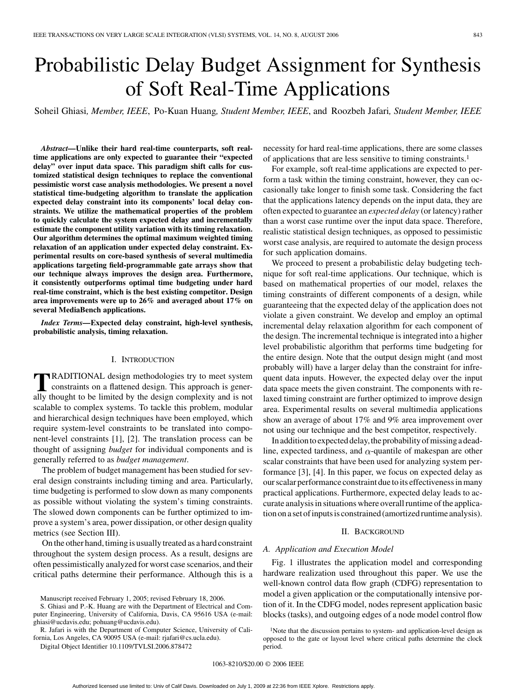# Probabilistic Delay Budget Assignment for Synthesis of Soft Real-Time Applications

Soheil Ghiasi*, Member, IEEE*, Po-Kuan Huang*, Student Member, IEEE*, and Roozbeh Jafari*, Student Member, IEEE*

*Abstract—***Unlike their hard real-time counterparts, soft realtime applications are only expected to guarantee their "expected delay" over input data space. This paradigm shift calls for customized statistical design techniques to replace the conventional pessimistic worst case analysis methodologies. We present a novel statistical time-budgeting algorithm to translate the application expected delay constraint into its components' local delay constraints. We utilize the mathematical properties of the problem to quickly calculate the system expected delay and incrementally estimate the component utility variation with its timing relaxation. Our algorithm determines the optimal maximum weighted timing relaxation of an application under expected delay constraint. Experimental results on core-based synthesis of several multimedia applications targeting field-programmable gate arrays show that our technique always improves the design area. Furthermore, it consistently outperforms optimal time budgeting under hard real-time constraint, which is the best existing competitor. Design area improvements were up to 26% and averaged about 17% on several MediaBench applications.**

*Index Terms—***Expected delay constraint, high-level synthesis, probabilistic analysis, timing relaxation.**

## I. INTRODUCTION

**T**RADITIONAL design methodologies try to meet system<br>constraints on a flattened design. This approach is gener-<br>ally thought to be limited by the design complexity and is not ally thought to be limited by the design complexity and is not scalable to complex systems. To tackle this problem, modular and hierarchical design techniques have been employed, which require system-level constraints to be translated into component-level constraints [\[1\], \[2\].](#page-10-0) The translation process can be thought of assigning *budget* for individual components and is generally referred to as *budget management*.

The problem of budget management has been studied for several design constraints including timing and area. Particularly, time budgeting is performed to slow down as many components as possible without violating the system's timing constraints. The slowed down components can be further optimized to improve a system's area, power dissipation, or other design quality metrics (see [Section III\)](#page-2-0).

On the other hand, timing is usually treated as a hard constraint throughout the system design process. As a result, designs are often pessimistically analyzed for worst case scenarios, and their critical paths determine their performance. Although this is a

Manuscript received February 1, 2005; revised February 18, 2006.

Digital Object Identifier 10.1109/TVLSI.2006.878472

necessity for hard real-time applications, there are some classes of applications that are less sensitive to timing constraints.1

For example, soft real-time applications are expected to perform a task within the timing constraint, however, they can occasionally take longer to finish some task. Considering the fact that the applications latency depends on the input data, they are often expected to guarantee an *expected delay* (or latency) rather than a worst case runtime over the input data space. Therefore, realistic statistical design techniques, as opposed to pessimistic worst case analysis, are required to automate the design process for such application domains.

We proceed to present a probabilistic delay budgeting technique for soft real-time applications. Our technique, which is based on mathematical properties of our model, relaxes the timing constraints of different components of a design, while guaranteeing that the expected delay of the application does not violate a given constraint. We develop and employ an optimal incremental delay relaxation algorithm for each component of the design. The incremental technique is integrated into a higher level probabilistic algorithm that performs time budgeting for the entire design. Note that the output design might (and most probably will) have a larger delay than the constraint for infrequent data inputs. However, the expected delay over the input data space meets the given constraint. The components with relaxed timing constraint are further optimized to improve design area. Experimental results on several multimedia applications show an average of about 17% and 9% area improvement over not using our technique and the best competitor, respectively.

In addition to expected delay, the probability of missing a deadline, expected tardiness, and  $\alpha$ -quantile of makespan are other scalar constraints that have been used for analyzing system performance [\[3\]](#page-10-0), [\[4\].](#page-10-0) In this paper, we focus on expected delay as our scalar performance constraint due to its effectiveness in many practical applications. Furthermore, expected delay leads to accurate analysis in situations where overall runtime of the application on a set of inputs is constrained (amortized runtime analysis).

#### II. BACKGROUND

## *A. Application and Execution Model*

[Fig. 1](#page-1-0) illustrates the application model and corresponding hardware realization used throughout this paper. We use the well-known control data flow graph (CDFG) representation to model a given application or the computationally intensive portion of it. In the CDFG model, nodes represent application basic blocks (tasks), and outgoing edges of a node model control flow

S. Ghiasi and P.-K. Huang are with the Department of Electrical and Computer Engineering, University of California, Davis, CA 95616 USA (e-mail: ghiasi@ucdavis.edu; pohuang@ucdavis.edu).

R. Jafari is with the Department of Computer Science, University of California, Los Angeles, CA 90095 USA (e-mail: rjafari@cs.ucla.edu).

<sup>&</sup>lt;sup>1</sup>Note that the discussion pertains to system- and application-level design as opposed to the gate or layout level where critical paths determine the clock period.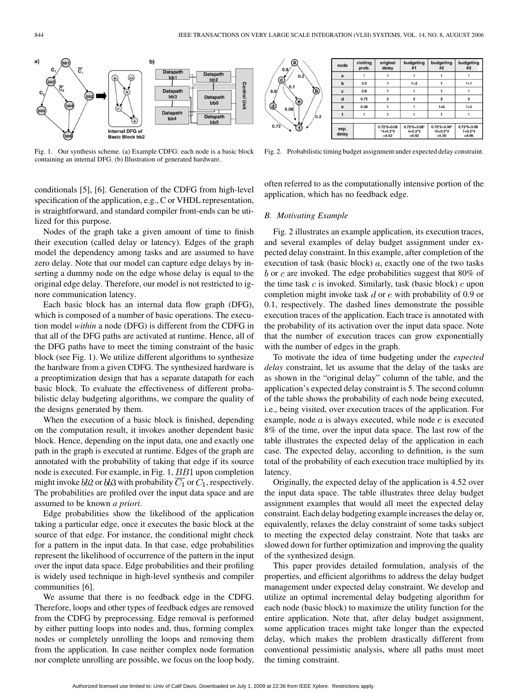<span id="page-1-0"></span>

Fig. 1. Our synthesis scheme. (a) Example CDFG: each node is a basic block containing an internal DFG. (b) Illustration of generated hardware.

| $\left( \widehat{a}\right)$<br>0.8/ | node          | visiting<br>prob. | original<br>delay                        | budgeting<br>#1                          | budgeting<br>#2                          | budgeting<br>#3                         |  |
|-------------------------------------|---------------|-------------------|------------------------------------------|------------------------------------------|------------------------------------------|-----------------------------------------|--|
| $0.2^{\circ}$<br>ငြ                 | a             |                   |                                          |                                          |                                          |                                         |  |
| 0.1                                 | b             | 0.2               |                                          | $1+2$                                    |                                          | $1 + 1$                                 |  |
| ®<br>0.9/                           | $\mathbf{c}$  | 0.8               |                                          |                                          |                                          |                                         |  |
| ි                                   | d             | 0.72              | $\overline{\mathbf{2}}$                  | $\overline{2}$                           | $\overline{\mathbf{2}}$                  | $\overline{2}$                          |  |
| (d)<br>0.08                         | e             | 0.08              |                                          |                                          | $1 + 6$                                  | $1 + 3$                                 |  |
| /0.2                                |               |                   |                                          |                                          |                                          |                                         |  |
|                                     |               |                   |                                          |                                          |                                          |                                         |  |
| 0.72                                | exp.<br>delay |                   | $0.72*5+0.08$<br>$*4 + 0.2*3$<br>$=4.52$ | $0.72*5+0.08*$<br>$4 + 0.2*5$<br>$=4.92$ | $0.72*5+0.08*$<br>$10+0.2*3$<br>$= 5.00$ | $0.72*5+0.08$<br>$7 + 0.2*4$<br>$=4.96$ |  |

Fig. 2. Probabilistic timing budget assignment under expected delay constraint.

conditionals [\[5\], \[6\].](#page-10-0) Generation of the CDFG from high-level specification of the application, e.g., C or VHDL representation, is straightforward, and standard compiler front-ends can be utilized for this purpose.

Nodes of the graph take a given amount of time to finish their execution (called delay or latency). Edges of the graph model the dependency among tasks and are assumed to have zero delay. Note that our model can capture edge delays by inserting a dummy node on the edge whose delay is equal to the original edge delay. Therefore, our model is not restricted to ignore communication latency.

Each basic block has an internal data flow graph (DFG), which is composed of a number of basic operations. The execution model *within* a node (DFG) is different from the CDFG in that all of the DFG paths are activated at runtime. Hence, all of the DFG paths have to meet the timing constraint of the basic block (see Fig. 1). We utilize different algorithms to synthesize the hardware from a given CDFG. The synthesized hardware is a preoptimization design that has a separate datapath for each basic block. To evaluate the effectiveness of different probabilistic delay budgeting algorithms, we compare the quality of the designs generated by them.

When the execution of a basic block is finished, depending on the computation result, it invokes another dependent basic block. Hence, depending on the input data, one and exactly one path in the graph is executed at runtime. Edges of the graph are annotated with the probability of taking that edge if its source node is executed. For example, in Fig. 1,  $BB1$  upon completion might invoke  $bb2$  or  $bb3$  with probability  $C_1$  or  $C_1$ , respectively. The probabilities are profiled over the input data space and are assumed to be known *a priori*.

Edge probabilities show the likelihood of the application taking a particular edge, once it executes the basic block at the source of that edge. For instance, the conditional might check for a pattern in the input data. In that case, edge probabilities represent the likelihood of occurrence of the pattern in the input over the input data space. Edge probabilities and their profiling is widely used technique in high-level synthesis and compiler communities [\[6\].](#page-10-0)

We assume that there is no feedback edge in the CDFG. Therefore, loops and other types of feedback edges are removed from the CDFG by preprocessing. Edge removal is performed by either putting loops into nodes and, thus, forming complex nodes or completely unrolling the loops and removing them from the application. In case neither complex node formation nor complete unrolling are possible, we focus on the loop body,

often referred to as the computationally intensive portion of the application, which has no feedback edge.

## *B. Motivating Example*

Fig. 2 illustrates an example application, its execution traces, and several examples of delay budget assignment under expected delay constraint. In this example, after completion of the execution of task (basic block)  $a$ , exactly one of the two tasks b or  $c$  are invoked. The edge probabilities suggest that 80% of the time task  $c$  is invoked. Similarly, task (basic block)  $c$  upon completion might invoke task  $d$  or  $e$  with probability of 0.9 or 0.1, respectively. The dashed lines demonstrate the possible execution traces of the application. Each trace is annotated with the probability of its activation over the input data space. Note that the number of execution traces can grow exponentially with the number of edges in the graph.

To motivate the idea of time budgeting under the *expected delay* constraint, let us assume that the delay of the tasks are as shown in the "original delay" column of the table, and the application's expected delay constraint is 5. The second column of the table shows the probability of each node being executed, i.e., being visited, over execution traces of the application. For example, node  $a$  is always executed, while node  $e$  is executed 8% of the time, over the input data space. The last row of the table illustrates the expected delay of the application in each case. The expected delay, according to definition, is the sum total of the probability of each execution trace multiplied by its latency.

Originally, the expected delay of the application is 4.52 over the input data space. The table illustrates three delay budget assignment examples that would all meet the expected delay constraint. Each delay budgeting example increases the delay or, equivalently, relaxes the delay constraint of some tasks subject to meeting the expected delay constraint. Note that tasks are slowed down for further optimization and improving the quality of the synthesized design.

This paper provides detailed formulation, analysis of the properties, and efficient algorithms to address the delay budget management under expected delay constraint. We develop and utilize an optimal incremental delay budgeting algorithm for each node (basic block) to maximize the utility function for the entire application. Note that, after delay budget assignment, some application traces might take longer than the expected delay, which makes the problem drastically different from conventional pessimistic analysis, where all paths must meet the timing constraint.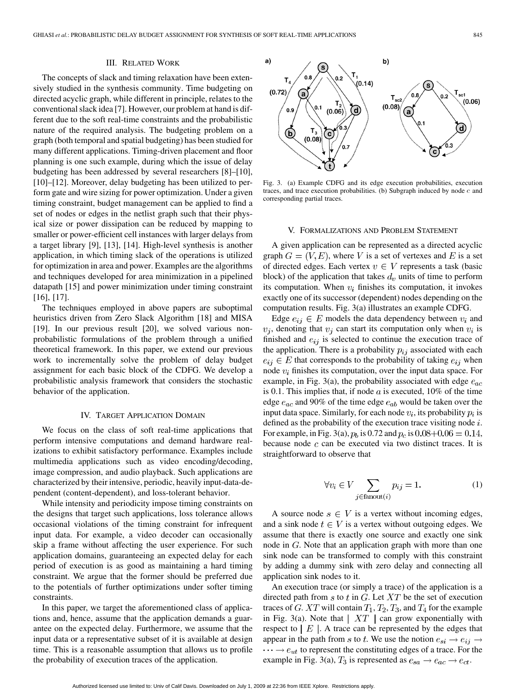#### III. RELATED WORK

<span id="page-2-0"></span>The concepts of slack and timing relaxation have been extensively studied in the synthesis community. Time budgeting on directed acyclic graph, while different in principle, relates to the conventional slack idea [\[7\].](#page-10-0) However, our problem at hand is different due to the soft real-time constraints and the probabilistic nature of the required analysis. The budgeting problem on a graph (both temporal and spatial budgeting) has been studied for many different applications. Timing-driven placement and floor planning is one such example, during which the issue of delay budgeting has been addressed by several researchers [\[8\]–\[10\],](#page-10-0) [\[10\]–\[12\]](#page-10-0). Moreover, delay budgeting has been utilized to perform gate and wire sizing for power optimization. Under a given timing constraint, budget management can be applied to find a set of nodes or edges in the netlist graph such that their physical size or power dissipation can be reduced by mapping to smaller or power-efficient cell instances with larger delays from a target library [\[9\]](#page-10-0), [\[13\], \[14\]](#page-10-0). High-level synthesis is another application, in which timing slack of the operations is utilized for optimization in area and power. Examples are the algorithms and techniques developed for area minimization in a pipelined datapath [\[15\]](#page-10-0) and power minimization under timing constraint [\[16\], \[17\].](#page-10-0)

The techniques employed in above papers are suboptimal heuristics driven from Zero Slack Algorithm [\[18\]](#page-10-0) and MISA [\[19\].](#page-10-0) In our previous result [\[20\]](#page-10-0), we solved various nonprobabilistic formulations of the problem through a unified theoretical framework. In this paper, we extend our previous work to incrementally solve the problem of delay budget assignment for each basic block of the CDFG. We develop a probabilistic analysis framework that considers the stochastic behavior of the application.

## IV. TARGET APPLICATION DOMAIN

We focus on the class of soft real-time applications that perform intensive computations and demand hardware realizations to exhibit satisfactory performance. Examples include multimedia applications such as video encoding/decoding, image compression, and audio playback. Such applications are characterized by their intensive, periodic, heavily input-data-dependent (content-dependent), and loss-tolerant behavior.

While intensity and periodicity impose timing constraints on the designs that target such applications, loss tolerance allows occasional violations of the timing constraint for infrequent input data. For example, a video decoder can occasionally skip a frame without affecting the user experience. For such application domains, guaranteeing an expected delay for each period of execution is as good as maintaining a hard timing constraint. We argue that the former should be preferred due to the potentials of further optimizations under softer timing constraints.

In this paper, we target the aforementioned class of applications and, hence, assume that the application demands a guarantee on the expected delay. Furthermore, we assume that the input data or a representative subset of it is available at design time. This is a reasonable assumption that allows us to profile the probability of execution traces of the application.



Fig. 3. (a) Example CDFG and its edge execution probabilities, execution traces, and trace execution probabilities. (b) Subgraph induced by node  $c$  and corresponding partial traces.

## V. FORMALIZATIONS AND PROBLEM STATEMENT

A given application can be represented as a directed acyclic graph  $G = (V, E)$ , where V is a set of vertexes and E is a set of directed edges. Each vertex  $v \in V$  represents a task (basic block) of the application that takes  $d_v$  units of time to perform its computation. When  $v_i$  finishes its computation, it invokes exactly one of its successor (dependent) nodes depending on the computation results. Fig. 3(a) illustrates an example CDFG.

Edge  $e_{ij} \in E$  models the data dependency between  $v_i$  and  $v_i$ , denoting that  $v_i$  can start its computation only when  $v_i$  is finished and  $e_{ij}$  is selected to continue the execution trace of the application. There is a probability  $p_{ij}$  associated with each  $e_{ij} \in E$  that corresponds to the probability of taking  $e_{ij}$  when node  $v_i$  finishes its computation, over the input data space. For example, in Fig. 3(a), the probability associated with edge  $e_{ac}$ is 0.1. This implies that, if node  $\alpha$  is executed, 10% of the time edge  $e_{ac}$  and 90% of the time edge  $e_{ab}$  would be taken over the input data space. Similarly, for each node  $v_i$ , its probability  $p_i$  is defined as the probability of the execution trace visiting node  $i$ . For example, in Fig. 3(a),  $p_b$  is 0.72 and  $p_c$  is  $0.08+0.06 = 0.14$ , because node  $c$  can be executed via two distinct traces. It is straightforward to observe that

$$
\forall v_i \in V \sum_{j \in \text{fanout}(i)} p_{ij} = 1. \tag{1}
$$

A source node  $s \in V$  is a vertex without incoming edges, and a sink node  $t \in V$  is a vertex without outgoing edges. We assume that there is exactly one source and exactly one sink node in  $G$ . Note that an application graph with more than one sink node can be transformed to comply with this constraint by adding a dummy sink with zero delay and connecting all application sink nodes to it.

An execution trace (or simply a trace) of the application is a directed path from s to t in  $G$ . Let  $XT$  be the set of execution traces of G. XT will contain  $T_1, T_2, T_3$ , and  $T_4$  for the example in Fig. 3(a). Note that  $\mid XT \mid can$  grow exponentially with respect to  $\mid E \mid$ . A trace can be represented by the edges that appear in the path from s to t. We use the notion  $e_{si} \rightarrow e_{ij} \rightarrow$  $\cdots \rightarrow e_{ut}$  to represent the constituting edges of a trace. For the example in Fig. 3(a),  $T_3$  is represented as  $e_{sa} \rightarrow e_{ac} \rightarrow e_{ct}$ .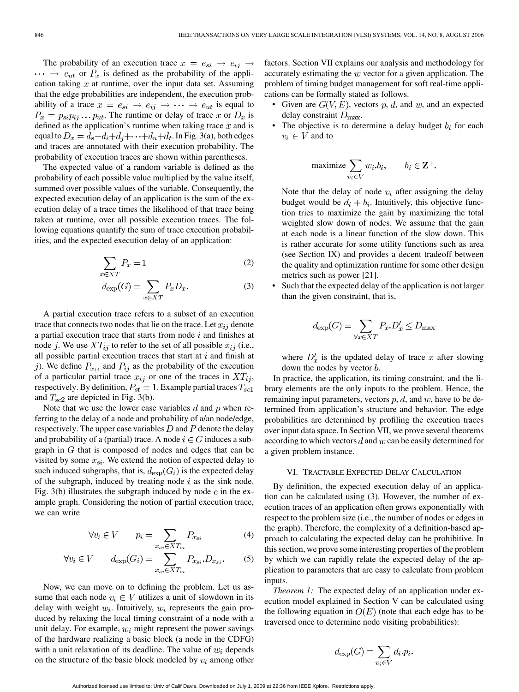<span id="page-3-0"></span>The probability of an execution trace  $x = e_{si} \rightarrow e_{ij} \rightarrow$  $\cdots \rightarrow e_{ut}$  or  $P_x$  is defined as the probability of the application taking  $x$  at runtime, over the input data set. Assuming that the edge probabilities are independent, the execution probability of a trace  $x = e_{si} \rightarrow e_{ij} \rightarrow \cdots \rightarrow e_{ut}$  is equal to  $P_x = p_{si}p_{ij} \dots p_{ut}$ . The runtime or delay of trace x or  $D_x$  is defined as the application's runtime when taking trace  $x$  and is equal to  $D_x = d_s + d_t + d_y + \cdots + d_u + d_t$ . In [Fig. 3\(a\)](#page-2-0), both edges and traces are annotated with their execution probability. The probability of execution traces are shown within parentheses.

The expected value of a random variable is defined as the probability of each possible value multiplied by the value itself, summed over possible values of the variable. Consequently, the expected execution delay of an application is the sum of the execution delay of a trace times the likelihood of that trace being taken at runtime, over all possible execution traces. The following equations quantify the sum of trace execution probabilities, and the expected execution delay of an application:

$$
\sum_{x \in XT} P_x = 1 \tag{2}
$$

$$
d_{\exp}(G) = \sum_{x \in XT} P_x D_x.
$$
 (3)

A partial execution trace refers to a subset of an execution trace that connects two nodes that lie on the trace. Let  $x_{i,j}$  denote a partial execution trace that starts from node  $i$  and finishes at node j. We use  $XT_{ij}$  to refer to the set of all possible  $x_{ij}$  (i.e., all possible partial execution traces that start at  $i$  and finish at j). We define  $P_{x_{ij}}$  and  $P_{ij}$  as the probability of the execution of a particular partial trace  $x_{ij}$  or one of the traces in  $XT_{ij}$ , respectively. By definition,  $P_{st} = 1$ . Example partial traces  $T_{sc1}$ and  $T_{sc2}$  are depicted in [Fig. 3\(b\)](#page-2-0).

Note that we use the lower case variables  $d$  and  $p$  when referring to the delay of a node and probability of a/an node/edge, respectively. The upper case variables  $D$  and  $P$  denote the delay and probability of a (partial) trace. A node  $i \in G$  induces a subgraph in  $G$  that is composed of nodes and edges that can be visited by some  $x_{si}$ . We extend the notion of expected delay to such induced subgraphs, that is,  $d_{exp}(G_i)$  is the expected delay of the subgraph, induced by treating node  $i$  as the sink node. [Fig. 3\(b\)](#page-2-0) illustrates the subgraph induced by node  $c$  in the example graph. Considering the notion of partial execution trace, we can write

$$
\forall v_i \in V \qquad p_i = \sum_{x_{si} \in XT_{si}} P_{x_{si}} \tag{4}
$$

$$
\forall v_i \in V \qquad d_{\exp}(G_i) = \sum_{x_{si} \in XT_{si}} P_{x_{si}}. D_{x_{si}}.
$$
 (5)

Now, we can move on to defining the problem. Let us assume that each node  $v_i \in V$  utilizes a unit of slowdown in its delay with weight  $w_i$ . Intuitively,  $w_i$  represents the gain produced by relaxing the local timing constraint of a node with a unit delay. For example,  $w_i$  might represent the power savings of the hardware realizing a basic block (a node in the CDFG) with a unit relaxation of its deadline. The value of  $w_i$  depends on the structure of the basic block modeled by  $v_i$  among other factors. [Section VII](#page-4-0) explains our analysis and methodology for accurately estimating the  $w$  vector for a given application. The problem of timing budget management for soft real-time applications can be formally stated as follows.

- Given are  $G(V, E)$ , vectors p, d, and w, and an expected delay constraint  $D_{\text{max}}$ .
- The objective is to determine a delay budget  $b_i$  for each  $v_i \in V$  and to

$$
\text{maximize} \sum_{v_i \in V} w_i \cdot b_i, \qquad b_i \in \mathbf{Z}^+
$$

Note that the delay of node  $v_i$  after assigning the delay budget would be  $d_i + b_i$ . Intuitively, this objective function tries to maximize the gain by maximizing the total weighted slow down of nodes. We assume that the gain at each node is a linear function of the slow down. This is rather accurate for some utility functions such as area (see [Section IX\)](#page-6-0) and provides a decent tradeoff between the quality and optimization runtime for some other design metrics such as power [\[21\].](#page-10-0)

Such that the expected delay of the application is not larger than the given constraint, that is,

$$
d_{\exp}(G) = \sum_{\forall x \in XT} P_x . D'_x \le D_{\max}
$$

where  $D'_x$  is the updated delay of trace x after slowing down the nodes by vector *.* 

In practice, the application, its timing constraint, and the library elements are the only inputs to the problem. Hence, the remaining input parameters, vectors  $p$ ,  $d$ , and  $w$ , have to be determined from application's structure and behavior. The edge probabilities are determined by profiling the execution traces over input data space. In [Section VII](#page-4-0), we prove several theorems according to which vectors  $d$  and  $w$  can be easily determined for a given problem instance.

#### VI. TRACTABLE EXPECTED DELAY CALCULATION

By definition, the expected execution delay of an application can be calculated using (3). However, the number of execution traces of an application often grows exponentially with respect to the problem size (i.e., the number of nodes or edges in the graph). Therefore, the complexity of a definition-based approach to calculating the expected delay can be prohibitive. In this section, we prove some interesting properties of the problem by which we can rapidly relate the expected delay of the application to parameters that are easy to calculate from problem inputs.

*Theorem 1:* The expected delay of an application under execution model explained in [Section V](#page-2-0) can be calculated using the following equation in  $O(E)$  (note that each edge has to be traversed once to determine node visiting probabilities):

$$
d_{\exp}(G) = \sum_{v_i \in V} d_i \cdot p_i.
$$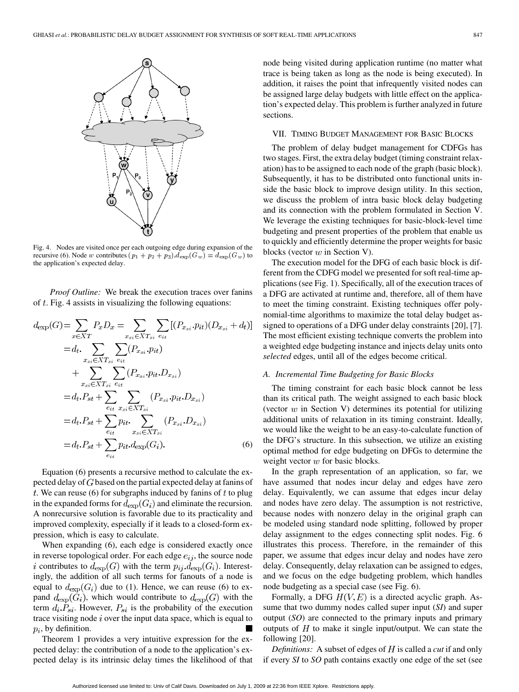<span id="page-4-0"></span>

Fig. 4. Nodes are visited once per each outgoing edge during expansion of the recursive (6). Node w contributes  $(p_1 + p_2 + p_3) \cdot d_{\exp}(G_w) = d_{\exp}(G_w)$  to the application's expected delay.

*Proof Outline:* We break the execution traces over fanins of  $t$ . Fig. 4 assists in visualizing the following equations:

$$
d_{\exp}(G) = \sum_{x \in XT} P_x D_x = \sum_{x_{si} \in XT_{si}} \sum_{e_{it}} [(P_{x_{si}} \cdot p_{it})(D_{x_{si}} + d_t)]
$$
  
\n
$$
= d_t \cdot \sum_{x_{si} \in XT_{si}} \sum_{e_{it}} (P_{x_{si}} \cdot p_{it})
$$
  
\n
$$
+ \sum_{x_{si} \in XT_{si}} \sum_{e_{it}} (P_{x_{si}} \cdot p_{it} \cdot D_{x_{si}})
$$
  
\n
$$
= d_t \cdot P_{st} + \sum_{e_{it}} \sum_{x_{si} \in XT_{si}} (P_{x_{si}} \cdot p_{it} \cdot D_{x_{si}})
$$
  
\n
$$
= d_t \cdot P_{st} + \sum_{e_{it}} p_{it} \cdot \sum_{x_{si} \in XT_{si}} (P_{x_{si}} \cdot D_{x_{si}})
$$
  
\n
$$
= d_t \cdot P_{st} + \sum_{e_{it}} p_{it} \cdot d_{\exp}(G_i).
$$
 (6)

Equation (6) presents a recursive method to calculate the expected delay of  $G$  based on the partial expected delay at fanins of t. We can reuse (6) for subgraphs induced by fanins of  $t$  to plug in the expanded forms for  $d_{\exp}(G_i)$  and eliminate the recursion. A nonrecursive solution is favorable due to its practicality and improved complexity, especially if it leads to a closed-form expression, which is easy to calculate.

When expanding (6), each edge is considered exactly once in reverse topological order. For each edge  $e_{ij}$ , the source node *i* contributes to  $d_{\exp}(G)$  with the term  $p_{ij}.d_{\exp}(G_i)$ . Interestingly, the addition of all such terms for fanouts of a node is equal to  $d_{\text{exp}}(G_i)$  due to [\(1\).](#page-2-0) Hence, we can reuse (6) to expand  $d_{\exp}(G_i)$ , which would contribute to  $d_{\exp}(G)$  with the term  $d_i \cdot P_{si}$ . However,  $P_{si}$  is the probability of the execution trace visiting node  $i$  over the input data space, which is equal to  $p_i$ , by definition.

Theorem 1 provides a very intuitive expression for the expected delay: the contribution of a node to the application's expected delay is its intrinsic delay times the likelihood of that node being visited during application runtime (no matter what trace is being taken as long as the node is being executed). In addition, it raises the point that infrequently visited nodes can be assigned large delay budgets with little effect on the application's expected delay. This problem is further analyzed in future sections.

## VII. TIMING BUDGET MANAGEMENT FOR BASIC BLOCKS

The problem of delay budget management for CDFGs has two stages. First, the extra delay budget (timing constraint relaxation) has to be assigned to each node of the graph (basic block). Subsequently, it has to be distributed onto functional units inside the basic block to improve design utility. In this section, we discuss the problem of intra basic block delay budgeting and its connection with the problem formulated in [Section V.](#page-2-0) We leverage the existing techniques for basic-block-level time budgeting and present properties of the problem that enable us to quickly and efficiently determine the proper weights for basic blocks (vector  $w$  in [Section V\)](#page-2-0).

The execution model for the DFG of each basic block is different from the CDFG model we presented for soft real-time applications (see [Fig. 1\)](#page-1-0). Specifically, all of the execution traces of a DFG are activated at runtime and, therefore, all of them have to meet the timing constraint. Existing techniques offer polynomial-time algorithms to maximize the total delay budget assigned to operations of a DFG under delay constraints [\[20\]](#page-10-0), [\[7\].](#page-10-0) The most efficient existing technique converts the problem into a weighted edge budgeting instance and injects delay units onto *selected* edges, until all of the edges become critical.

#### *A. Incremental Time Budgeting for Basic Blocks*

The timing constraint for each basic block cannot be less than its critical path. The weight assigned to each basic block (vector  $w$  in [Section V\)](#page-2-0) determines its potential for utilizing additional units of relaxation in its timing constraint. Ideally, we would like the weight to be an easy-to-calculate function of the DFG's structure. In this subsection, we utilize an existing optimal method for edge budgeting on DFGs to determine the weight vector  $w$  for basic blocks.

In the graph representation of an application, so far, we have assumed that nodes incur delay and edges have zero delay. Equivalently, we can assume that edges incur delay and nodes have zero delay. The assumption is not restrictive, because nodes with nonzero delay in the original graph can be modeled using standard node splitting, followed by proper delay assignment to the edges connecting split nodes. [Fig. 6](#page-5-0) illustrates this process. Therefore, in the remainder of this paper, we assume that edges incur delay and nodes have zero delay. Consequently, delay relaxation can be assigned to edges, and we focus on the edge budgeting problem, which handles node budgeting as a special case (see [Fig. 6\)](#page-5-0).

Formally, a DFG  $H(V, E)$  is a directed acyclic graph. Assume that two dummy nodes called super input (*SI*) and super output (*SO*) are connected to the primary inputs and primary outputs of  $H$  to make it single input/output. We can state the following [\[20\]](#page-10-0).

*Definitions:* A subset of edges of  $H$  is called a *cut* if and only if every *SI* to *SO* path contains exactly one edge of the set (see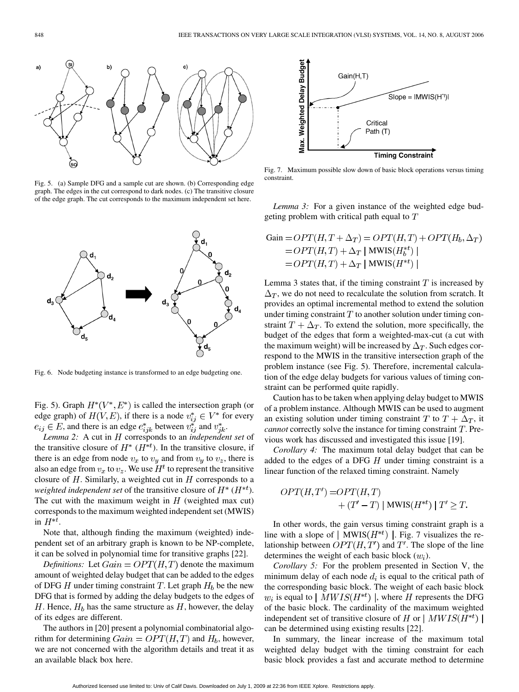<span id="page-5-0"></span>

Fig. 5. (a) Sample DFG and a sample cut are shown. (b) Corresponding edge graph. The edges in the cut correspond to dark nodes. (c) The transitive closure of the edge graph. The cut corresponds to the maximum independent set here.



Fig. 6. Node budgeting instance is transformed to an edge budgeting one.

Fig. 5). Graph  $H^*(V^*, E^*)$  is called the intersection graph (or edge graph) of  $H(V, E)$ , if there is a node  $v_{ij}^* \in V^*$  for every  $e_{ij} \in E$ , and there is an edge  $e_{ijk}^*$  between  $v_{ij}^*$  and  $v_{jk}^*$ .

*Lemma 2:* A cut in H corresponds to an *independent set* of the transitive closure of  $H^*$  ( $H^{*t}$ ). In the transitive closure, if there is an edge from node  $v_x$  to  $v_y$  and from  $v_y$  to  $v_z$ , there is also an edge from  $v_x$  to  $v_z$ . We use  $H<sup>t</sup>$  to represent the transitive closure of  $H$ . Similarly, a weighted cut in  $H$  corresponds to a *weighted independent set* of the transitive closure of  $H^*(H^{*t})$ . The cut with the maximum weight in  $H$  (weighted max cut) corresponds to the maximum weighted independent set (MWIS) in  $H^{*t}$ .

Note that, although finding the maximum (weighted) independent set of an arbitrary graph is known to be NP-complete, it can be solved in polynomial time for transitive graphs [\[22\].](#page-10-0)

*Definitions:* Let  $Gain = OPT(H, T)$  denote the maximum amount of weighted delay budget that can be added to the edges of DFG H under timing constraint T. Let graph  $H_b$  be the new DFG that is formed by adding the delay budgets to the edges of H. Hence,  $H_b$  has the same structure as  $H$ , however, the delay of its edges are different.

The authors in [\[20\]](#page-10-0) present a polynomial combinatorial algorithm for determining  $Gain = OPT(H, T)$  and  $H_b$ , however, we are not concerned with the algorithm details and treat it as an available black box here.



Fig. 7. Maximum possible slow down of basic block operations versus timing constraint.

*Lemma 3:* For a given instance of the weighted edge budgeting problem with critical path equal to  $T$ 

Gain = 
$$
OPT(H, T + \Delta_T)
$$
 =  $OPT(H, T)$  +  $OPT(H_b, \Delta_T)$   
=  $OPT(H, T) + \Delta_T |$  M WIS $(H_b^{*t}) |$   
=  $OPT(H, T) + \Delta_T |$  M WIS $(H^{*t}) |$ 

Lemma 3 states that, if the timing constraint  $T$  is increased by  $\Delta_T$ , we do not need to recalculate the solution from scratch. It provides an optimal incremental method to extend the solution under timing constraint  $T$  to another solution under timing constraint  $T + \Delta_T$ . To extend the solution, more specifically, the budget of the edges that form a weighted-max-cut (a cut with the maximum weight) will be increased by  $\Delta_T$ . Such edges correspond to the MWIS in the transitive intersection graph of the problem instance (see Fig. 5). Therefore, incremental calculation of the edge delay budgets for various values of timing constraint can be performed quite rapidly.

Caution has to be taken when applying delay budget to MWIS of a problem instance. Although MWIS can be used to augment an existing solution under timing constraint T to  $T + \Delta_T$ , it *cannot* correctly solve the instance for timing constraint  $T$ . Previous work has discussed and investigated this issue [\[19\]](#page-10-0).

*Corollary 4:* The maximum total delay budget that can be added to the edges of a DFG  $H$  under timing constraint is a linear function of the relaxed timing constraint. Namely

$$
OPT(H, T') = OPT(H, T)
$$
  
+ 
$$
(T' - T) | MWIS(H^{*t}) | T' \ge T.
$$

In other words, the gain versus timing constraint graph is a line with a slope of  $\mid$  MWIS( $H^{*t}$ )  $\mid$ . Fig. 7 visualizes the relationship between  $OPT(H, T')$  and T'. The slope of the line determines the weight of each basic block  $(w_i)$ .

*Corollary 5:* For the problem presented in [Section V](#page-2-0), the minimum delay of each node  $d_i$  is equal to the critical path of the corresponding basic block. The weight of each basic block  $w_i$  is equal to  $|MWIS(H^{*t})|$ , where H represents the DFG of the basic block. The cardinality of the maximum weighted independent set of transitive closure of H or  $\mid M W I S (H^{*t}) \mid$ can be determined using existing results [\[22\]](#page-10-0).

In summary, the linear increase of the maximum total weighted delay budget with the timing constraint for each basic block provides a fast and accurate method to determine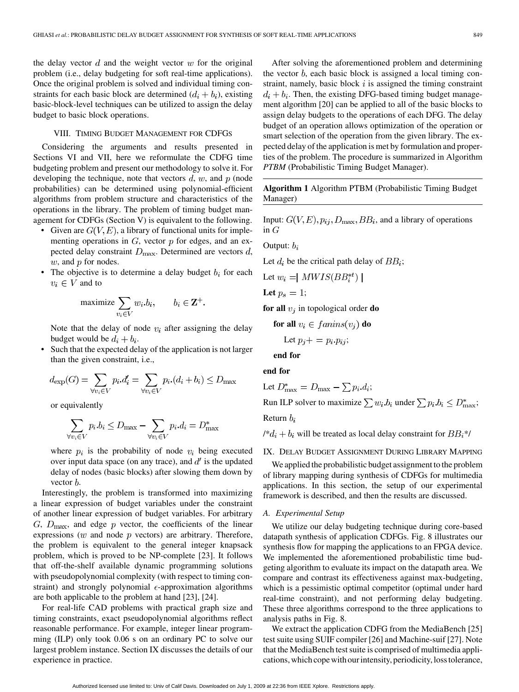<span id="page-6-0"></span>the delay vector  $d$  and the weight vector  $w$  for the original problem (i.e., delay budgeting for soft real-time applications). Once the original problem is solved and individual timing constraints for each basic block are determined  $(d_i + b_i)$ , existing basic-block-level techniques can be utilized to assign the delay budget to basic block operations.

## VIII. TIMING BUDGET MANAGEMENT FOR CDFGS

Considering the arguments and results presented in [Sections VI](#page-3-0) and [VII](#page-4-0), here we reformulate the CDFG time budgeting problem and present our methodology to solve it. For developing the technique, note that vectors  $d, w$ , and  $p$  (node probabilities) can be determined using polynomial-efficient algorithms from problem structure and characteristics of the operations in the library. The problem of timing budget management for CDFGs ([Section V](#page-2-0)) is equivalent to the following.

- Given are  $G(V, E)$ , a library of functional units for implementing operations in  $G$ , vector  $p$  for edges, and an expected delay constraint  $D_{\text{max}}$ . Determined are vectors  $d$ ,  $w$ , and  $p$  for nodes.
- The objective is to determine a delay budget  $b_i$  for each  $v_i \in V$  and to

$$
\text{maximize} \sum_{v_i \in V} w_i b_i, \qquad b_i \in \mathbf{Z}^+
$$

Note that the delay of node  $v_i$  after assigning the delay budget would be  $d_i + b_i$ .

Such that the expected delay of the application is not larger than the given constraint, i.e.,

$$
d_{\exp}(G) = \sum_{\forall v_i \in V} p_i \cdot d_i' = \sum_{\forall v_i \in V} p_i \cdot (d_i + b_i) \le D_{\max}
$$

or equivalently

$$
\sum_{\forall v_i \in V} p_i.b_i \leq D_{\max} - \sum_{\forall v_i \in V} p_i.d_i = D_{\max}^*
$$

where  $p_i$  is the probability of node  $v_i$  being executed over input data space (on any trace), and  $d'$  is the updated delay of nodes (basic blocks) after slowing them down by vector *.* 

Interestingly, the problem is transformed into maximizing a linear expression of budget variables under the constraint of another linear expression of budget variables. For arbitrary  $G, D_{\text{max}}$ , and edge p vector, the coefficients of the linear expressions ( $w$  and node  $p$  vectors) are arbitrary. Therefore, the problem is equivalent to the general integer knapsack problem, which is proved to be NP-complete [\[23\].](#page-10-0) It follows that off-the-shelf available dynamic programming solutions with pseudopolynomial complexity (with respect to timing constraint) and strongly polynomial  $\epsilon$ -approximation algorithms are both applicable to the problem at hand [\[23\], \[24\].](#page-10-0)

For real-life CAD problems with practical graph size and timing constraints, exact pseudopolynomial algorithms reflect reasonable performance. For example, integer linear programming (ILP) only took 0.06 s on an ordinary PC to solve our largest problem instance. Section IX discusses the details of our experience in practice.

After solving the aforementioned problem and determining the vector  $b$ , each basic block is assigned a local timing constraint, namely, basic block  $i$  is assigned the timing constraint  $d_i + b_i$ . Then, the existing DFG-based timing budget management algorithm [\[20\]](#page-10-0) can be applied to all of the basic blocks to assign delay budgets to the operations of each DFG. The delay budget of an operation allows optimization of the operation or smart selection of the operation from the given library. The expected delay of the application is met by formulation and properties of the problem. The procedure is summarized in Algorithm *PTBM* (Probabilistic Timing Budget Manager).

**Algorithm 1** Algorithm PTBM (Probabilistic Timing Budget Manager)

Input:  $G(V, E), p_{ij}, D_{\text{max}}, BB_i$ , and a library of operations in  $G$ 

Output:  $b_i$ 

Let  $d_i$  be the critical path delay of  $BB_i$ ;

Let 
$$
w_i = |M W I S (BB_i^{*t})|
$$

Let  $p_s = 1$ ;

**for all**  $v_i$  in topological order **do** 

**for all**  $v_i \in \text{fanins}(v_i)$  **do** 

$$
Let p_j + = p_i \cdot p_{ij};
$$

**end for**

**end for**

Let 
$$
D_{\text{max}}^* = D_{\text{max}} - \sum p_i d_i;
$$

Run ILP solver to maximize  $\sum w_i b_i$  under  $\sum p_i b_i \leq D_{\text{max}}^*$ ;

Return  $b_i$ 

 $/ * d_i + b_i$  will be treated as local delay constraint for  $BB_i * / d_i$ 

## IX. DELAY BUDGET ASSIGNMENT DURING LIBRARY MAPPING

We applied the probabilistic budget assignment to the problem of library mapping during synthesis of CDFGs for multimedia applications. In this section, the setup of our experimental framework is described, and then the results are discussed.

## *A. Experimental Setup*

We utilize our delay budgeting technique during core-based datapath synthesis of application CDFGs. [Fig. 8](#page-7-0) illustrates our synthesis flow for mapping the applications to an FPGA device. We implemented the aforementioned probabilistic time budgeting algorithm to evaluate its impact on the datapath area. We compare and contrast its effectiveness against max-budgeting, which is a pessimistic optimal competitor (optimal under hard real-time constraint), and not performing delay budgeting. These three algorithms correspond to the three applications to analysis paths in [Fig. 8](#page-7-0).

We extract the application CDFG from the MediaBench [\[25\]](#page-10-0) test suite using SUIF compiler [\[26\]](#page-10-0) and Machine-suif [\[27\]](#page-10-0). Note that the MediaBench test suite is comprised of multimedia applications, which cope with our intensity, periodicity, loss tolerance,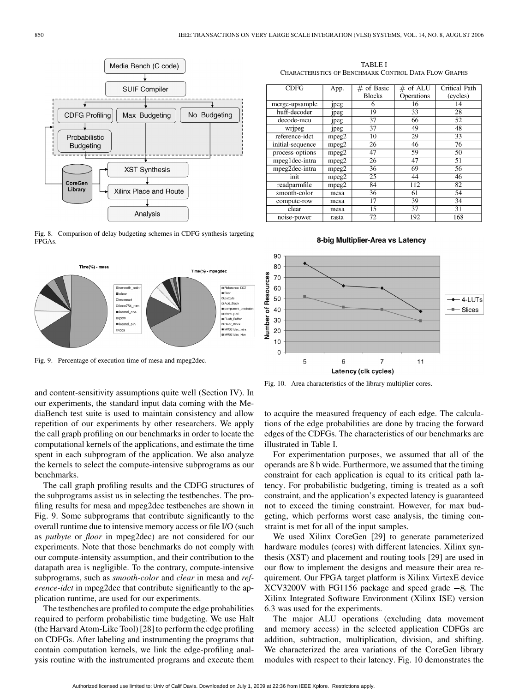<span id="page-7-0"></span>

Fig. 8. Comparison of delay budgeting schemes in CDFG synthesis targeting FPGAs.



Fig. 9. Percentage of execution time of mesa and mpeg2dec.

and content-sensitivity assumptions quite well ([Section IV\)](#page-2-0). In our experiments, the standard input data coming with the MediaBench test suite is used to maintain consistency and allow repetition of our experiments by other researchers. We apply the call graph profiling on our benchmarks in order to locate the computational kernels of the applications, and estimate the time spent in each subprogram of the application. We also analyze the kernels to select the compute-intensive subprograms as our benchmarks.

The call graph profiling results and the CDFG structures of the subprograms assist us in selecting the testbenches. The profiling results for mesa and mpeg2dec testbenches are shown in Fig. 9. Some subprograms that contribute significantly to the overall runtime due to intensive memory access or file I/O (such as *putbyte* or *floor* in mpeg2dec) are not considered for our experiments. Note that those benchmarks do not comply with our compute-intensity assumption, and their contribution to the datapath area is negligible. To the contrary, compute-intensive subprograms, such as *smooth-color* and *clear* in mesa and *reference-idct* in mpeg2dec that contribute significantly to the application runtime, are used for our experiments.

The testbenches are profiled to compute the edge probabilities required to perform probabilistic time budgeting. We use Halt (the Harvard Atom-Like Tool) [\[28\]](#page-10-0) to perform the edge profiling on CDFGs. After labeling and instrumenting the programs that contain computation kernels, we link the edge-profiling analysis routine with the instrumented programs and execute them

TABLE I CHARACTERISTICS OF BENCHMARK CONTROL DATA FLOW GRAPHS

| <b>CDFG</b>      | App.  | $#$ of Basic  | $#$ of ALU | Critical Path |
|------------------|-------|---------------|------------|---------------|
|                  |       | <b>Blocks</b> | Operations | (cycles)      |
| merge-upsample   | jpeg  | 6             | 16         | 14            |
| huff-decoder     | jpeg  | 19            | 33         | 28            |
| decode-mcu       | jpeg  | 37            | 66         | 52            |
| wripeg           | jpeg  | 37            | 49         | 48            |
| reference-idct   | mpeg2 | 10            | 29         | 33            |
| initial-sequence | mpeg2 | 26            | 46         | 76            |
| process-options  | mpeg2 | 47            | 59         | 50            |
| mpeg1dec-intra   | mpeg2 | 26            | 47         | 51            |
| mpeg2dec-intra   | mpeg2 | 36            | 69         | 56            |
| init             | mpeg2 | 25            | 44         | 46            |
| readparmfile     | mpeg2 | 84            | 112        | 82            |
| smooth-color     | mesa  | 36            | 61         | 54            |
| compute-row      | mesa  | 17            | 39         | 34            |
| clear            | mesa  | 15            | 37         | 31            |
| noise-power      | rasta | 72            | 192        | 168           |





Fig. 10. Area characteristics of the library multiplier cores.

to acquire the measured frequency of each edge. The calculations of the edge probabilities are done by tracing the forward edges of the CDFGs. The characteristics of our benchmarks are illustrated in Table I.

For experimentation purposes, we assumed that all of the operands are 8 b wide. Furthermore, we assumed that the timing constraint for each application is equal to its critical path latency. For probabilistic budgeting, timing is treated as a soft constraint, and the application's expected latency is guaranteed not to exceed the timing constraint. However, for max budgeting, which performs worst case analysis, the timing constraint is met for all of the input samples.

We used Xilinx CoreGen [\[29\]](#page-10-0) to generate parameterized hardware modules (cores) with different latencies. Xilinx synthesis (XST) and placement and routing tools [\[29\]](#page-10-0) are used in our flow to implement the designs and measure their area requirement. Our FPGA target platform is Xilinx VirtexE device  $XCV3200V$  with FG1156 package and speed grade  $-8$ . The Xilinx Integrated Software Environment (Xilinx ISE) version 6.3 was used for the experiments.

The major ALU operations (excluding data movement and memory access) in the selected application CDFGs are addition, subtraction, multiplication, division, and shifting. We characterized the area variations of the CoreGen library modules with respect to their latency. Fig. 10 demonstrates the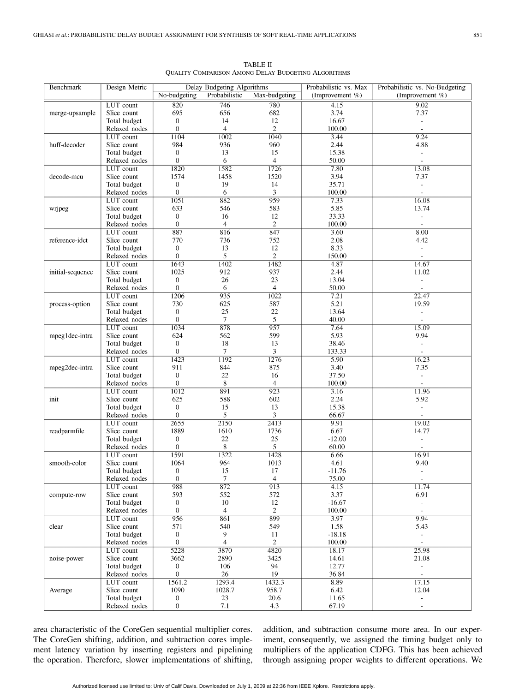<span id="page-8-0"></span>

| Benchmark        | Design Metric | Delay Budgeting Algorithms |                  |                   | Probabilistic vs. Max | Probabilistic vs. No-Budgeting |  |
|------------------|---------------|----------------------------|------------------|-------------------|-----------------------|--------------------------------|--|
|                  |               | No-budgeting               | Probabilistic    | Max-budgeting     | (Improvement %)       | (Improvement %)                |  |
|                  | LUT count     | 820                        | 746              | 780               | 4.15                  | 9.02                           |  |
| merge-upsample   | Slice count   | 695                        | 656              | 682               | 3.74                  | 7.37                           |  |
|                  | Total budget  | $\mathbf{0}$               | 14               | 12                | 16.67                 | $\sim$                         |  |
|                  | Relaxed nodes | $\overline{0}$             | $\overline{4}$   | 2                 | 100.00                | $\sim$                         |  |
|                  | LUT count     | 1104                       | 1002             | 1040              | 3.44                  | 9.24                           |  |
| huff-decoder     | Slice count   | 984                        | 936              | 960               | 2.44                  | 4.88                           |  |
|                  | Total budget  | $\boldsymbol{0}$           | 13               | 15                | 15.38                 | $\overline{\phantom{a}}$       |  |
|                  | Relaxed nodes | $\mathbf{0}$               | 6                | $\overline{4}$    | 50.00                 |                                |  |
|                  | LUT count     | 1820                       | 1582             | 1726              | 7.80                  | 13.08                          |  |
| decode-mcu       | Slice count   | 1574                       | 1458             | 1520              | 3.94                  | 7.37                           |  |
|                  | Total budget  | $\boldsymbol{0}$           | 19               | 14                | 35.71                 | $\sim$                         |  |
|                  | Relaxed nodes | $\boldsymbol{0}$           | 6                | 3                 | 100.00                |                                |  |
|                  | LUT count     | 1051                       | 882              | 959               | 7.33                  | 16.08                          |  |
| wrjpeg           | Slice count   | 633                        | 546              | 583               | 5.85                  | 13.74                          |  |
|                  | Total budget  | $\boldsymbol{0}$           | 16               | 12                | 33.33                 | $\bar{\phantom{a}}$            |  |
|                  | Relaxed nodes | $\overline{0}$             | $\overline{4}$   | $\overline{2}$    | 100.00                | $\overline{\phantom{a}}$       |  |
|                  | LUT count     | 887                        | 816              | 847               | 3.60                  | 8.00                           |  |
| reference-idct   | Slice count   | 770                        | 736              | 752               | 2.08                  | 4.42                           |  |
|                  | Total budget  | $\boldsymbol{0}$           | 13               | 12                | 8.33                  | $\ddot{\phantom{1}}$           |  |
|                  | Relaxed nodes | $\boldsymbol{0}$           | 5                | $\sqrt{2}$        | 150.00                |                                |  |
|                  | LUT count     | 1643                       | 1402             | 1482              | 4.87                  | 14.67                          |  |
| initial-sequence | Slice count   | 1025                       | 912              | 937               | 2.44                  | 11.02                          |  |
|                  | Total budget  | $\boldsymbol{0}$           | 26               | 23                | 13.04                 | $\Box$                         |  |
|                  | Relaxed nodes | $\boldsymbol{0}$           | 6                | $\overline{4}$    | 50.00                 |                                |  |
|                  | LUT count     | 1206                       | 935              | 1022              | 7.21                  | 22.47                          |  |
| process-option   | Slice count   | 730                        | 625              | 587               | 5.21                  | 19.59                          |  |
|                  | Total budget  | $\boldsymbol{0}$           | $25\,$           | 22                | 13.64                 | $\Box$                         |  |
|                  | Relaxed nodes | $\boldsymbol{0}$           | $\boldsymbol{7}$ | 5                 | 40.00                 |                                |  |
|                  | LUT count     | 1034                       | 878              | 957               | 7.64                  | 15.09                          |  |
| mpeg1dec-intra   | Slice count   | 624                        | 562              | 599               | 5.93                  | 9.94                           |  |
|                  | Total budget  | $\boldsymbol{0}$           | 18               | 13                | 38.46                 | $\overline{\phantom{a}}$       |  |
|                  | Relaxed nodes | $\boldsymbol{0}$           | $\tau$           | 3                 | 133.33                | $\sim$                         |  |
|                  | LUT count     | 1423                       | 1192             | 1276              | 5.90                  | 16.23                          |  |
| mpeg2dec-intra   | Slice count   | 911                        | 844              | 875               | 3.40                  | 7.35                           |  |
|                  | Total budget  | $\boldsymbol{0}$           | 22               | 16                | 37.50                 | $\bar{\phantom{a}}$            |  |
|                  | Relaxed nodes | $\boldsymbol{0}$           | $8\,$            | $\overline{4}$    | 100.00                | $\sim$                         |  |
|                  | LUT count     | 1012                       | 891              | 923               | 3.16                  | 11.96                          |  |
| init             | Slice count   | 625                        | 588              | 602               | 2.24                  | 5.92                           |  |
|                  | Total budget  | $\boldsymbol{0}$           | 15               | 13                | 15.38                 | $\sim$                         |  |
|                  | Relaxed nodes | $\boldsymbol{0}$           | 5                | 3                 | 66.67                 | $\bar{a}$                      |  |
|                  | LUT count     | 2655                       | 2150             | $\overline{2413}$ | 9.91                  | 19.02                          |  |
| readparmfile     | Slice count   | 1889                       | 1610             | 1736              | 6.67                  | 14.77                          |  |
|                  | Total budget  | $\boldsymbol{0}$           | 22               | 25                | $-12.00$              | $\bar{a}$                      |  |
|                  | Relaxed nodes | $\boldsymbol{0}$           | $8\,$            | 5                 | 60.00                 |                                |  |
|                  | LUT count     | 1591                       | 1322             | 1428              | 6.66                  | 16.91                          |  |
| smooth-color     | Slice count   | 1064                       | 964              | 1013              | 4.61                  | 9.40                           |  |
|                  | Total budget  | $\overline{0}$             | 15               | 17                | $-11.76$              | $\blacksquare$                 |  |
|                  | Relaxed nodes | 0                          | 7                | 4                 | 75.00                 | $\blacksquare$                 |  |
|                  | LUT count     | 988                        | 872              | 913               | 4.15                  | 11.74                          |  |
| compute-row      | Slice count   | 593                        | 552              | 572               | 3.37                  | 6.91                           |  |
|                  | Total budget  | $\mathbf{0}$               | 10               | 12                | $-16.67$              | $\blacksquare$                 |  |
|                  | Relaxed nodes | $\boldsymbol{0}$           | $\overline{4}$   | $\sqrt{2}$        | 100.00                | $\Box$                         |  |
|                  | LUT count     | 956                        | 861              | 899               | 3.97                  | 9.94                           |  |
| clear            | Slice count   | 571                        | 540              | 549               | 1.58                  | 5.43                           |  |
|                  | Total budget  | $\mathbf{0}$               | 9                | 11                | $-18.18$              | $\overline{\phantom{a}}$       |  |
|                  | Relaxed nodes | $\boldsymbol{0}$           | $\overline{4}$   | $\overline{c}$    | 100.00                |                                |  |
|                  | LUT count     | 5228                       | 3870             | 4820              | 18.17                 | 25.98                          |  |
| noise-power      | Slice count   | 3662                       | 2890             | 3425              | 14.61                 | 21.08                          |  |
|                  | Total budget  | $\boldsymbol{0}$           | 106              | 94                | 12.77                 | $\overline{\phantom{a}}$       |  |
|                  | Relaxed nodes | $\boldsymbol{0}$           | 26               | 19                | 36.84                 | $\overline{\phantom{a}}$       |  |
|                  | LUT count     | 1561.2                     | 1293.4           | 1432.3            | 8.89                  | 17.15                          |  |
| Average          | Slice count   | 1090                       | 1028.7           | 958.7             | 6.42                  | 12.04                          |  |
|                  | Total budget  | $\boldsymbol{0}$           | $23\,$           | 20.6              | 11.65                 | $\blacksquare$                 |  |
|                  | Relaxed nodes | $\boldsymbol{0}$           | $7.1\,$          | 4.3               | 67.19                 | $\Box$                         |  |

TABLE II QUALITY COMPARISON AMONG DELAY BUDGETING ALGORITHMS

area characteristic of the CoreGen sequential multiplier cores. The CoreGen shifting, addition, and subtraction cores implement latency variation by inserting registers and pipelining the operation. Therefore, slower implementations of shifting,

addition, and subtraction consume more area. In our experiment, consequently, we assigned the timing budget only to multipliers of the application CDFG. This has been achieved through assigning proper weights to different operations. We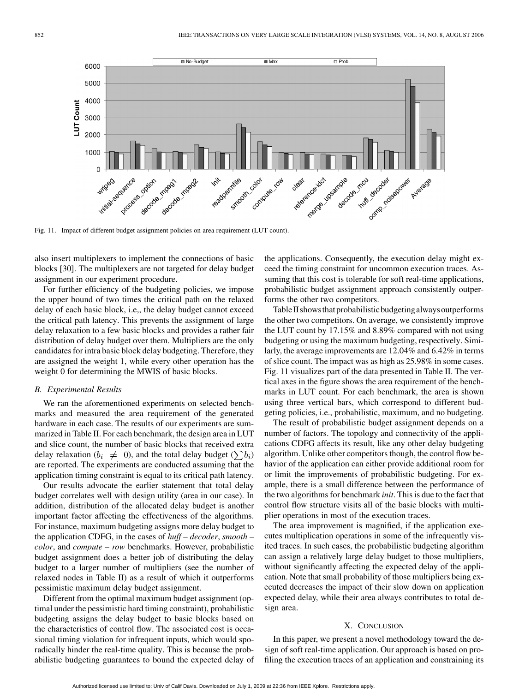$\Box$  Prob.

No-Budget

Fig. 11. Impact of different budget assignment policies on area requirement (LUT count).

also insert multiplexers to implement the connections of basic blocks [\[30\].](#page-10-0) The multiplexers are not targeted for delay budget assignment in our experiment procedure.

For further efficiency of the budgeting policies, we impose the upper bound of two times the critical path on the relaxed delay of each basic block, i.e,, the delay budget cannot exceed the critical path latency. This prevents the assignment of large delay relaxation to a few basic blocks and provides a rather fair distribution of delay budget over them. Multipliers are the only candidates for intra basic block delay budgeting. Therefore, they are assigned the weight 1, while every other operation has the weight 0 for determining the MWIS of basic blocks.

### *B. Experimental Results*

We ran the aforementioned experiments on selected benchmarks and measured the area requirement of the generated hardware in each case. The results of our experiments are summarized in [Table II](#page-8-0). For each benchmark, the design area in LUT and slice count, the number of basic blocks that received extra delay relaxation ( $b_i \neq 0$ ), and the total delay budget ( $\sum b_i$ ) are reported. The experiments are conducted assuming that the application timing constraint is equal to its critical path latency.

Our results advocate the earlier statement that total delay budget correlates well with design utility (area in our case). In addition, distribution of the allocated delay budget is another important factor affecting the effectiveness of the algorithms. For instance, maximum budgeting assigns more delay budget to the application CDFG, in the cases of *huff – decoder*, *smooth – color*, and *compute – row* benchmarks. However, probabilistic budget assignment does a better job of distributing the delay budget to a larger number of multipliers (see the number of relaxed nodes in [Table II\)](#page-8-0) as a result of which it outperforms pessimistic maximum delay budget assignment.

Different from the optimal maximum budget assignment (optimal under the pessimistic hard timing constraint), probabilistic budgeting assigns the delay budget to basic blocks based on the characteristics of control flow. The associated cost is occasional timing violation for infrequent inputs, which would sporadically hinder the real-time quality. This is because the probabilistic budgeting guarantees to bound the expected delay of

the applications. Consequently, the execution delay might exceed the timing constraint for uncommon execution traces. Assuming that this cost is tolerable for soft real-time applications, probabilistic budget assignment approach consistently outperforms the other two competitors.

Table II shows that probabilistic budgeting always outperforms the other two competitors. On average, we consistently improve the LUT count by 17.15% and 8.89% compared with not using budgeting or using the maximum budgeting, respectively. Similarly, the average improvements are 12.04% and 6.42% in terms of slice count. The impact was as high as 25.98% in some cases. Fig. 11 visualizes part of the data presented in [Table II.](#page-8-0) The vertical axes in the figure shows the area requirement of the benchmarks in LUT count. For each benchmark, the area is shown using three vertical bars, which correspond to different budgeting policies, i.e., probabilistic, maximum, and no budgeting.

The result of probabilistic budget assignment depends on a number of factors. The topology and connectivity of the applications CDFG affects its result, like any other delay budgeting algorithm. Unlike other competitors though, the control flow behavior of the application can either provide additional room for or limit the improvements of probabilistic budgeting. For example, there is a small difference between the performance of the two algorithms for benchmark *init*. This is due to the fact that control flow structure visits all of the basic blocks with multiplier operations in most of the execution traces.

The area improvement is magnified, if the application executes multiplication operations in some of the infrequently visited traces. In such cases, the probabilistic budgeting algorithm can assign a relatively large delay budget to those multipliers, without significantly affecting the expected delay of the application. Note that small probability of those multipliers being executed decreases the impact of their slow down on application expected delay, while their area always contributes to total design area.

## X. CONCLUSION

In this paper, we present a novel methodology toward the design of soft real-time application. Our approach is based on profiling the execution traces of an application and constraining its



 $Max$